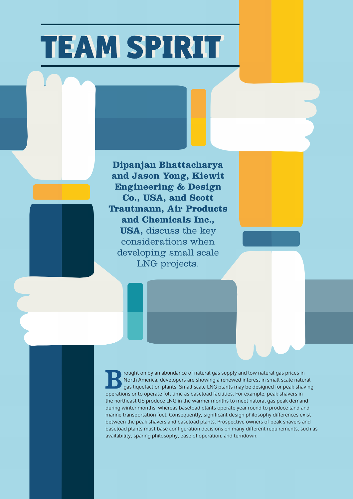# **TEAM SPIRIT**

**Dipanjan Bhattacharya and Jason Yong, Kiewit Engineering & Design Co., USA, and Scott Trautmann, Air Products and Chemicals Inc., USA,** discuss the key considerations when developing small scale LNG projects.

Frought on by an abundance of natural gas supply and low natural gas prices in<br>
Solution plants are showing a renewed interest in small scale natural<br>
gas liquefaction plants. Small scale LNG plants may be designed for pea North America, developers are showing a renewed interest in small scale natural operations or to operate full time as baseload facilities. For example, peak shavers in the northeast US produce LNG in the warmer months to meet natural gas peak demand during winter months, whereas baseload plants operate year round to produce land and marine transportation fuel. Consequently, significant design philosophy differences exist between the peak shavers and baseload plants. Prospective owners of peak shavers and baseload plants must base configuration decisions on many different requirements, such as availability, sparing philosophy, ease of operation, and turndown.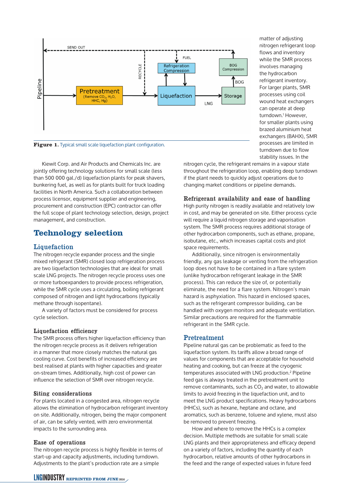

matter of adjusting nitrogen refrigerant loop flows and inventory while the SMR process involves managing the hydrocarbon refrigerant inventory. For larger plants, SMR processes using coil wound heat exchangers can operate at deep turndown.1 However, for smaller plants using brazed aluminium heat exchangers (BAHX), SMR processes are limited in turndown due to flow stability issues. In the

nitrogen cycle, the refrigerant remains in a vapour state throughout the refrigeration loop, enabling deep turndown if the plant needs to quickly adjust operations due to changing market conditions or pipeline demands.

## Refrigerant availability and ease of handling

High purity nitrogen is readily available and relatively low in cost, and may be generated on site. Either process cycle will require a liquid nitrogen storage and vaporisation system. The SMR process requires additional storage of other hydrocarbon components, such as ethane, propane, isobutane, etc., which increases capital costs and plot space requirements.

Additionally, since nitrogen is environmentally friendly, any gas leakage or venting from the refrigeration loop does not have to be contained in a flare system (unlike hydrocarbon refrigerant leakage in the SMR process). This can reduce the size of, or potentially eliminate, the need for a flare system. Nitrogen's main hazard is asphyxiation. This hazard in enclosed spaces, such as the refrigerant compressor building, can be handled with oxygen monitors and adequate ventilation. Similar precautions are required for the flammable refrigerant in the SMR cycle.

# Pretreatment

Pipeline natural gas can be problematic as feed to the liquefaction system. Its tariffs allow a broad range of values for components that are acceptable for household heating and cooking, but can freeze at the cryogenic temperatures associated with LNG production.2 Pipeline feed gas is always treated in the pretreatment unit to remove contaminants, such as  $CO<sub>2</sub>$  and water, to allowable limits to avoid freezing in the liquefaction unit, and to meet the LNG product specifications. Heavy hydrocarbons (HHCs), such as hexane, heptane and octane, and aromatics, such as benzene, toluene and xylene, must also be removed to prevent freezing.

How and where to remove the HHCs is a complex decision. Multiple methods are suitable for small scale LNG plants and their appropriateness and efficacy depend on a variety of factors, including the quantity of each hydrocarbon, relative amounts of other hydrocarbons in the feed and the range of expected values in future feed

**Figure 1.** Typical small scale liquefaction plant configuration.

Kiewit Corp. and Air Products and Chemicals Inc. are jointly offering technology solutions for small scale (less than 500 000 gal./d) liquefaction plants for peak shavers, bunkering fuel, as well as for plants built for truck loading facilities in North America. Such a collaboration between process licensor, equipment supplier and engineering, procurement and construction (EPC) contractor can offer the full scope of plant technology selection, design, project management, and construction.

# **Technology selection**

# **Liquefaction**

The nitrogen recycle expander process and the single mixed refrigerant (SMR) closed loop refrigeration process are two liquefaction technologies that are ideal for small scale LNG projects. The nitrogen recycle process uses one or more turboexpanders to provide process refrigeration, while the SMR cycle uses a circulating, boiling refrigerant composed of nitrogen and light hydrocarbons (typically methane through isopentane).

A variety of factors must be considered for process cycle selection.

# Liquefaction efficiency

The SMR process offers higher liquefaction efficiency than the nitrogen recycle process as it delivers refrigeration in a manner that more closely matches the natural gas cooling curve. Cost benefits of increased efficiency are best realised at plants with higher capacities and greater on-stream times. Additionally, high cost of power can influence the selection of SMR over nitrogen recycle.

# Siting considerations

For plants located in a congested area, nitrogen recycle allows the elimination of hydrocarbon refrigerant inventory on site. Additionally, nitrogen, being the major component of air, can be safely vented, with zero environmental impacts to the surrounding area.

# Ease of operations

The nitrogen recycle process is highly flexible in terms of start-up and capacity adjustments, including turndown. Adjustments to the plant's production rate are a simple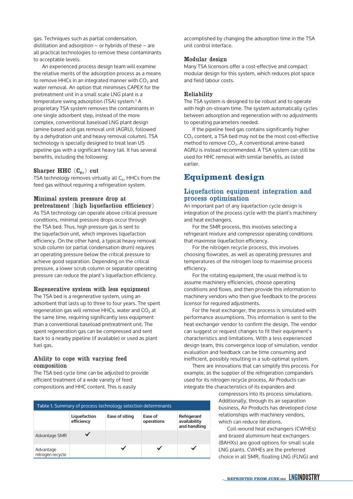gas. Techniques such as partial condensation, distillation and adsorption – or hybrids of these – are all practical technologies to remove these contaminants to acceptable levels.

An experienced process design team will examine the relative merits of the adsorption process as a means to remove HHCs in an integrated manner with  $CO<sub>2</sub>$  and water removal. An option that minimises CAPEX for the pretreatment unit in a small scale LNG plant is a temperature swing adsorption (TSA) system.3 A proprietary TSA system removes the contaminants in one single adsorbent step, instead of the more complex, conventional baseload LNG plant design (amine-based acid gas removal unit (AGRU), followed by a dehydration unit and heavy removal column). TSA technology is specially designed to treat lean US pipeline gas with a significant heavy tail. It has several benefits, including the following:

#### Sharper HHC  $(C_{6+})$  cut

TSA technology removes virtually all  $C_{6+}$  HHCs from the feed gas without requiring a refrigeration system.

#### Minimal system pressure drop at pretreatment (high liquefaction efficiency)

As TSA technology can operate above critical pressure conditions, minimal pressure drops occur through the TSA bed. Thus, high pressure gas is sent to the liquefaction unit, which improves liquefaction efficiency. On the other hand, a typical heavy removal scrub column (or partial condensation drum) requires an operating pressure below the critical pressure to achieve good separation. Depending on the critical pressure, a lower scrub column or separator operating pressure can reduce the plant's liquefaction efficiency.

#### Regenerative system with less equipment

The TSA bed is a regenerative system, using an adsorbent that lasts up to three to four years. The spent regeneration gas will remove HHCs, water and CO<sub>2</sub> at the same time, requiring significantly less equipment than a conventional baseload pretreatment unit. The spent regeneration gas can be compressed and sent back to a nearby pipeline (if available) or used as plant fuel gas.

#### Ability to cope with varying feed composition

The TSA bed cycle time can be adjusted to provide efficient treatment of a wide variety of feed compositions and HHC content. This is easily

| <b>Table 1. Summary of process technology selection determinants</b> |                            |                |                       |                                             |
|----------------------------------------------------------------------|----------------------------|----------------|-----------------------|---------------------------------------------|
|                                                                      | Liquefaction<br>efficiency | Ease of siting | Ease of<br>operations | Refrigerant<br>availability<br>and handling |
| Advantage SMR                                                        |                            |                |                       |                                             |
| Advantage<br>nitrogen recycle                                        |                            |                |                       |                                             |

accomplished by changing the adsorption time in the TSA unit control interface.

#### Modular design

Many TSA licensors offer a cost-effective and compact modular design for this system, which reduces plot space and field labour costs.

#### Reliability

The TSA system is designed to be robust and to operate with high on-stream time. The system automatically cycles between adsorption and regeneration with no adjustments to operating parameters needed.

If the pipeline feed gas contains significantly higher  $CO<sub>2</sub>$  content, a TSA bed may not be the most cost-effective method to remove CO<sub>2</sub>. A conventional amine-based AGRU is instead recommended. A TSA system can still be used for HHC removal with similar benefits, as listed earlier.

## **Equipment design**

## Liquefaction equipment integration and process optimisation

An important part of any liquefaction cycle design is integration of the process cycle with the plant's machinery and heat exchangers.

For the SMR process, this involves selecting a refrigerant mixture and compressor operating conditions that maximise liquefaction efficiency.

For the nitrogen recycle process, this involves choosing flowrates, as well as operating pressures and temperatures of the nitrogen loop to maximise process efficiency.

For the rotating equipment, the usual method is to assume machinery efficiencies, choose operating conditions and flows, and then provide this information to machinery vendors who then give feedback to the process licensor for required adjustments.

For the heat exchanger, the process is simulated with performance assumptions. This information is sent to the heat exchanger vendor to confirm the design. The vendor can suggest or request changes to fit their equipment's characteristics and limitations. With a less experienced design team, this convergence loop of simulation, vendor evaluation and feedback can be time consuming and inefficient, possibly resulting in a sub-optimal system.

There are innovations that can simplify this process. For example, as the supplier of the refrigeration companders used for its nitrogen recycle process, Air Products can integrate the characteristics of its expanders and

> compressors into its process simulations. Additionally, through its air separation business, Air Products has developed close relationships with machinery vendors, which can reduce iterations.

Coil-wound heat exchangers (CWHEs) and brazed aluminium heat exchangers (BAHXs) are good options for small scale LNG plants. CWHEs are the preferred choice in all SMR, floating LNG (FLNG) and